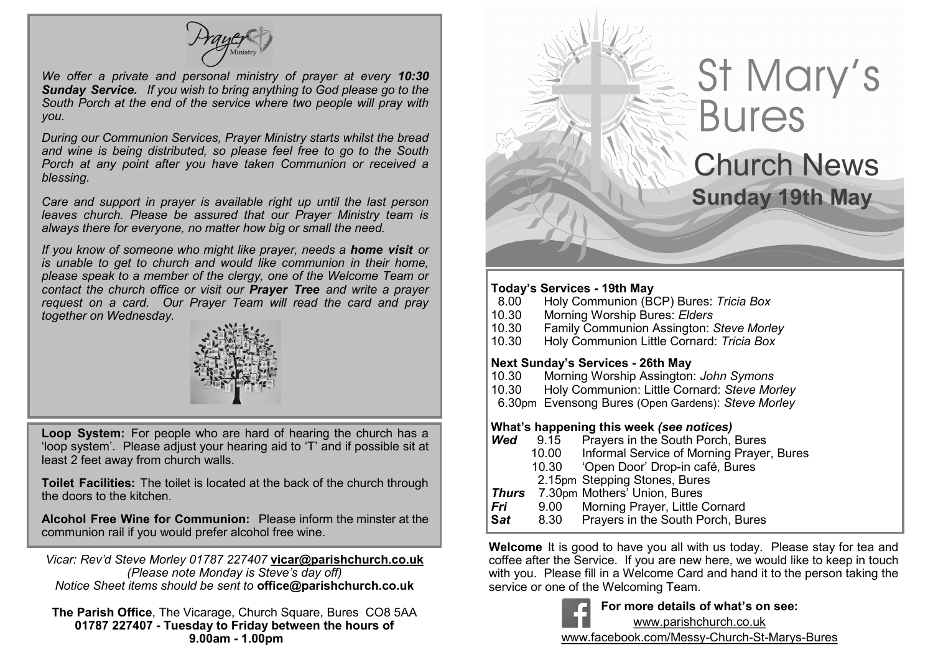

*We offer a private and personal ministry of prayer at every 10:30 Sunday Service. If you wish to bring anything to God please go to the South Porch at the end of the service where two people will pray with you.*

*During our Communion Services, Prayer Ministry starts whilst the bread and wine is being distributed, so please feel free to go to the South Porch at any point after you have taken Communion or received a blessing.*

*Care and support in prayer is available right up until the last person leaves church. Please be assured that our Prayer Ministry team is always there for everyone, no matter how big or small the need.* 

*If you know of someone who might like prayer, needs a home visit or is unable to get to church and would like communion in their home, please speak to a member of the clergy, one of the Welcome Team or contact the church office or visit our Prayer Tree and write a prayer request on a card. Our Prayer Team will read the card and pray together on Wednesday.*



**Loop System:** For people who are hard of hearing the church has a 'loop system'. Please adjust your hearing aid to 'T' and if possible sit at least 2 feet away from church walls.

**Toilet Facilities:** The toilet is located at the back of the church through the doors to the kitchen.

**Alcohol Free Wine for Communion:** Please inform the minster at the communion rail if you would prefer alcohol free wine.

*Vicar: Rev'd Steve Morley 01787 227407* **vicar@parishchurch.co.uk** *(Please note Monday is Steve's day off) Notice Sheet items should be sent to* **office@parishchurch.co.uk**

**The Parish Office**, The Vicarage, Church Square, Bures CO8 5AA **01787 227407 - Tuesday to Friday between the hours of 9.00am - 1.00pm**

# St Mary's<br>Bures Church News **Sunday 19th May**

#### **Today's Services - 19th May**

Ī

- 8.00 Holy Communion (BCP) Bures: *Tricia Box*
- 10.30 Morning Worship Bures: *Elders*
- 10.30 Family Communion Assington: *Steve Morley*
- 10.30 Holy Communion Little Cornard: *Tricia Box*

#### **Next Sunday's Services - 26th May**

- 10.30 Morning Worship Assington: *John Symons*
- 10.30 Holy Communion: Little Cornard: *Steve Morley*
- 6.30pm Evensong Bures (Open Gardens): *Steve Morley*

#### **What's happening this week** *(see notices)*

- **Wed** 9.15 Prayers in the South Porch, Bures<br>10.00 Informal Service of Morning Prayer
	- Informal Service of Morning Prayer, Bures
		- 10.30 'Open Door' Drop-in café, Bures
	- 2.15pm Stepping Stones, Bures
- *Thurs*7.30pm Mothers' Union, Bures
- *Fri* 9.00 Morning Prayer, Little Cornard
- **S***at* 8.30 Prayers in the South Porch, Bures

**Welcome** It is good to have you all with us today. Please stay for tea and coffee after the Service. If you are new here, we would like to keep in touch with you. Please fill in a Welcome Card and hand it to the person taking the service or one of the Welcoming Team.



**For more details of what's on see:** www.parishchurch.co.uk

www.facebook.com/Messy-Church-St-Marys-Bures